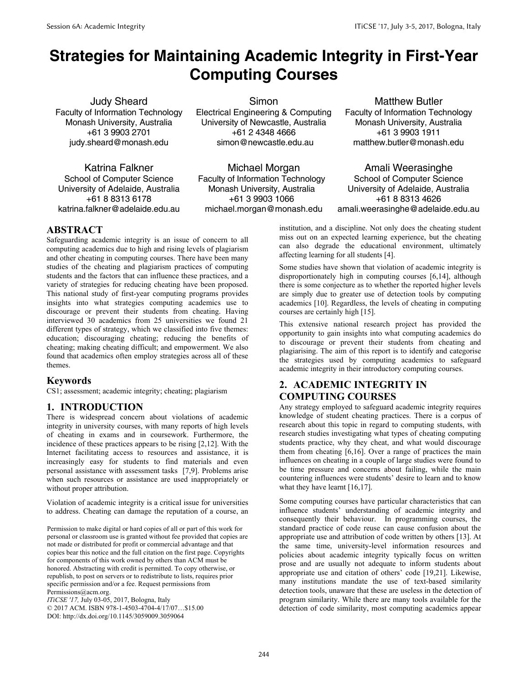# **Strategies for Maintaining Academic Integrity in First-Year Computing Courses**

Judy Sheard Faculty of Information Technology Monash University, Australia +61 3 9903 2701 judy.sheard@monash.edu

Katrina Falkner School of Computer Science University of Adelaide, Australia +61 8 8313 6178 katrina.falkner@adelaide.edu.au

Simon Electrical Engineering & Computing University of Newcastle, Australia +61 2 4348 4666 simon@newcastle.edu.au

Michael Morgan Faculty of Information Technology Monash University, Australia +61 3 9903 1066 michael.morgan@monash.edu

Matthew Butler Faculty of Information Technology Monash University, Australia +61 3 9903 1911 matthew.butler@monash.edu

Amali Weerasinghe School of Computer Science University of Adelaide, Australia +61 8 8313 4626 amali.weerasinghe@adelaide.edu.au

## **ABSTRACT**

Safeguarding academic integrity is an issue of concern to all computing academics due to high and rising levels of plagiarism and other cheating in computing courses. There have been many studies of the cheating and plagiarism practices of computing students and the factors that can influence these practices, and a variety of strategies for reducing cheating have been proposed. This national study of first-year computing programs provides insights into what strategies computing academics use to discourage or prevent their students from cheating. Having interviewed 30 academics from 25 universities we found 21 different types of strategy, which we classified into five themes: education; discouraging cheating; reducing the benefits of cheating; making cheating difficult; and empowerment. We also found that academics often employ strategies across all of these themes.

## **Keywords**

CS1; assessment; academic integrity; cheating; plagiarism

## **1. INTRODUCTION**

There is widespread concern about violations of academic integrity in university courses, with many reports of high levels of cheating in exams and in coursework. Furthermore, the incidence of these practices appears to be rising [2,12]. With the Internet facilitating access to resources and assistance, it is increasingly easy for students to find materials and even personal assistance with assessment tasks [7,9]. Problems arise when such resources or assistance are used inappropriately or without proper attribution.

Violation of academic integrity is a critical issue for universities to address. Cheating can damage the reputation of a course, an

Permission to make digital or hard copies of all or part of this work for personal or classroom use is granted without fee provided that copies are not made or distributed for profit or commercial advantage and that copies bear this notice and the full citation on the first page. Copyrights for components of this work owned by others than ACM must be honored. Abstracting with credit is permitted. To copy otherwise, or republish, to post on servers or to redistribute to lists, requires prior specific permission and/or a fee. Request permissions from Permissions@acm.org.

*ITiCSE '17,* July 03-05, 2017, Bologna, Italy

© 2017 ACM. ISBN 978-1-4503-4704-4/17/07…\$15.00 DOI: http://dx.doi.org/10.1145/3059009.3059064

institution, and a discipline. Not only does the cheating student miss out on an expected learning experience, but the cheating can also degrade the educational environment, ultimately affecting learning for all students [4].

Some studies have shown that violation of academic integrity is disproportionately high in computing courses [6,14], although there is some conjecture as to whether the reported higher levels are simply due to greater use of detection tools by computing academics [10]. Regardless, the levels of cheating in computing courses are certainly high [15].

This extensive national research project has provided the opportunity to gain insights into what computing academics do to discourage or prevent their students from cheating and plagiarising. The aim of this report is to identify and categorise the strategies used by computing academics to safeguard academic integrity in their introductory computing courses.

## **2. ACADEMIC INTEGRITY IN COMPUTING COURSES**

Any strategy employed to safeguard academic integrity requires knowledge of student cheating practices. There is a corpus of research about this topic in regard to computing students, with research studies investigating what types of cheating computing students practice, why they cheat, and what would discourage them from cheating [6,16]. Over a range of practices the main influences on cheating in a couple of large studies were found to be time pressure and concerns about failing, while the main countering influences were students' desire to learn and to know what they have learnt [16,17].

Some computing courses have particular characteristics that can influence students' understanding of academic integrity and consequently their behaviour. In programming courses, the standard practice of code reuse can cause confusion about the appropriate use and attribution of code written by others [13]. At the same time, university-level information resources and policies about academic integrity typically focus on written prose and are usually not adequate to inform students about appropriate use and citation of others' code [19,21]. Likewise, many institutions mandate the use of text-based similarity detection tools, unaware that these are useless in the detection of program similarity. While there are many tools available for the detection of code similarity, most computing academics appear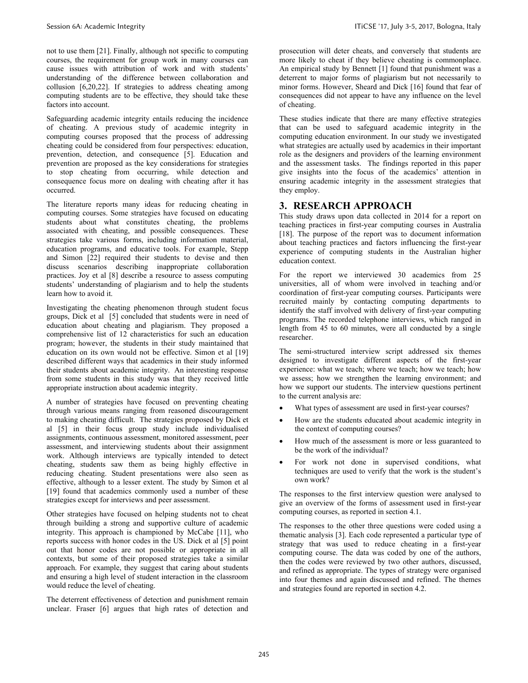not to use them [21]. Finally, although not specific to computing courses, the requirement for group work in many courses can cause issues with attribution of work and with students' understanding of the difference between collaboration and collusion [6,20,22]. If strategies to address cheating among computing students are to be effective, they should take these factors into account.

Safeguarding academic integrity entails reducing the incidence of cheating. A previous study of academic integrity in computing courses proposed that the process of addressing cheating could be considered from four perspectives: education, prevention, detection, and consequence [5]. Education and prevention are proposed as the key considerations for strategies to stop cheating from occurring, while detection and consequence focus more on dealing with cheating after it has occurred.

The literature reports many ideas for reducing cheating in computing courses. Some strategies have focused on educating students about what constitutes cheating, the problems associated with cheating, and possible consequences. These strategies take various forms, including information material, education programs, and educative tools. For example, Stepp and Simon [22] required their students to devise and then discuss scenarios describing inappropriate collaboration practices. Joy et al [8] describe a resource to assess computing students' understanding of plagiarism and to help the students learn how to avoid it.

Investigating the cheating phenomenon through student focus groups, Dick et al [5] concluded that students were in need of education about cheating and plagiarism. They proposed a comprehensive list of 12 characteristics for such an education program; however, the students in their study maintained that education on its own would not be effective. Simon et al [19] described different ways that academics in their study informed their students about academic integrity. An interesting response from some students in this study was that they received little appropriate instruction about academic integrity.

A number of strategies have focused on preventing cheating through various means ranging from reasoned discouragement to making cheating difficult. The strategies proposed by Dick et al [5] in their focus group study include individualised assignments, continuous assessment, monitored assessment, peer assessment, and interviewing students about their assignment work. Although interviews are typically intended to detect cheating, students saw them as being highly effective in reducing cheating. Student presentations were also seen as effective, although to a lesser extent. The study by Simon et al [19] found that academics commonly used a number of these strategies except for interviews and peer assessment.

Other strategies have focused on helping students not to cheat through building a strong and supportive culture of academic integrity. This approach is championed by McCabe [11], who reports success with honor codes in the US. Dick et al [5] point out that honor codes are not possible or appropriate in all contexts, but some of their proposed strategies take a similar approach. For example, they suggest that caring about students and ensuring a high level of student interaction in the classroom would reduce the level of cheating.

The deterrent effectiveness of detection and punishment remain unclear. Fraser [6] argues that high rates of detection and

prosecution will deter cheats, and conversely that students are more likely to cheat if they believe cheating is commonplace. An empirical study by Bennett [1] found that punishment was a deterrent to major forms of plagiarism but not necessarily to minor forms. However, Sheard and Dick [16] found that fear of consequences did not appear to have any influence on the level of cheating.

These studies indicate that there are many effective strategies that can be used to safeguard academic integrity in the computing education environment. In our study we investigated what strategies are actually used by academics in their important role as the designers and providers of the learning environment and the assessment tasks. The findings reported in this paper give insights into the focus of the academics' attention in ensuring academic integrity in the assessment strategies that they employ.

## **3. RESEARCH APPROACH**

This study draws upon data collected in 2014 for a report on teaching practices in first-year computing courses in Australia [18]. The purpose of the report was to document information about teaching practices and factors influencing the first-year experience of computing students in the Australian higher education context.

For the report we interviewed 30 academics from 25 universities, all of whom were involved in teaching and/or coordination of first-year computing courses. Participants were recruited mainly by contacting computing departments to identify the staff involved with delivery of first-year computing programs. The recorded telephone interviews, which ranged in length from 45 to 60 minutes, were all conducted by a single researcher.

The semi-structured interview script addressed six themes designed to investigate different aspects of the first-year experience: what we teach; where we teach; how we teach; how we assess; how we strengthen the learning environment; and how we support our students. The interview questions pertinent to the current analysis are:

- What types of assessment are used in first-year courses?
- How are the students educated about academic integrity in the context of computing courses?
- How much of the assessment is more or less guaranteed to be the work of the individual?
- For work not done in supervised conditions, what techniques are used to verify that the work is the student's own work?

The responses to the first interview question were analysed to give an overview of the forms of assessment used in first-year computing courses, as reported in section 4.1.

The responses to the other three questions were coded using a thematic analysis [3]. Each code represented a particular type of strategy that was used to reduce cheating in a first-year computing course. The data was coded by one of the authors, then the codes were reviewed by two other authors, discussed, and refined as appropriate. The types of strategy were organised into four themes and again discussed and refined. The themes and strategies found are reported in section 4.2.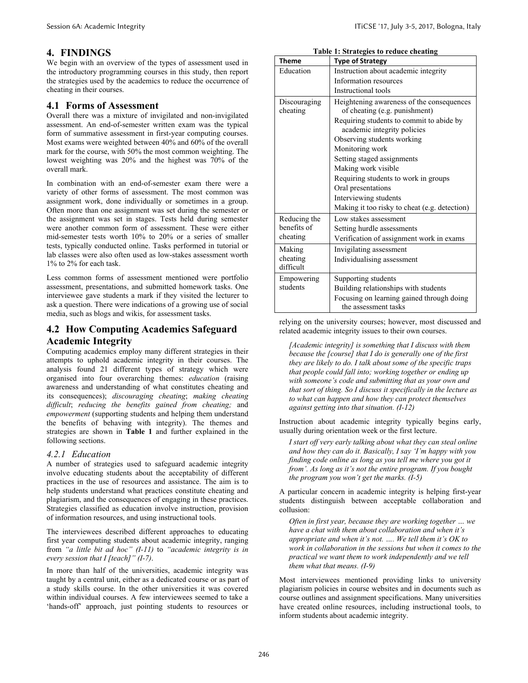## **4. FINDINGS**

We begin with an overview of the types of assessment used in the introductory programming courses in this study, then report the strategies used by the academics to reduce the occurrence of cheating in their courses.

## **4.1 Forms of Assessment**

Overall there was a mixture of invigilated and non-invigilated assessment. An end-of-semester written exam was the typical form of summative assessment in first-year computing courses. Most exams were weighted between 40% and 60% of the overall mark for the course, with 50% the most common weighting. The lowest weighting was 20% and the highest was 70% of the overall mark.

In combination with an end-of-semester exam there were a variety of other forms of assessment. The most common was assignment work, done individually or sometimes in a group. Often more than one assignment was set during the semester or the assignment was set in stages. Tests held during semester were another common form of assessment. These were either mid-semester tests worth 10% to 20% or a series of smaller tests, typically conducted online. Tasks performed in tutorial or lab classes were also often used as low-stakes assessment worth 1% to 2% for each task.

Less common forms of assessment mentioned were portfolio assessment, presentations, and submitted homework tasks. One interviewee gave students a mark if they visited the lecturer to ask a question. There were indications of a growing use of social media, such as blogs and wikis, for assessment tasks.

## **4.2 How Computing Academics Safeguard Academic Integrity**

Computing academics employ many different strategies in their attempts to uphold academic integrity in their courses. The analysis found 21 different types of strategy which were organised into four overarching themes: *education* (raising awareness and understanding of what constitutes cheating and its consequences); *discouraging cheating*; *making cheating difficult*; *reducing the benefits gained from cheating;* and *empowerment* (supporting students and helping them understand the benefits of behaving with integrity). The themes and strategies are shown in **Table 1** and further explained in the following sections.

#### *4.2.1 Education*

A number of strategies used to safeguard academic integrity involve educating students about the acceptability of different practices in the use of resources and assistance. The aim is to help students understand what practices constitute cheating and plagiarism, and the consequences of engaging in these practices. Strategies classified as education involve instruction, provision of information resources, and using instructional tools.

The interviewees described different approaches to educating first year computing students about academic integrity, ranging from *"a little bit ad hoc" (I-11)* to *"academic integrity is in every session that I [teach]" (I-7)*.

In more than half of the universities, academic integrity was taught by a central unit, either as a dedicated course or as part of a study skills course. In the other universities it was covered within individual courses. A few interviewees seemed to take a 'hands-off' approach, just pointing students to resources or **Table 1: Strategies to reduce cheating**

| <b>Theme</b>                            | <b>Type of Strategy</b>                                                    |
|-----------------------------------------|----------------------------------------------------------------------------|
| Education                               | Instruction about academic integrity                                       |
|                                         | Information resources                                                      |
|                                         | Instructional tools                                                        |
| Discouraging<br>cheating                | Heightening awareness of the consequences<br>of cheating (e.g. punishment) |
|                                         | Requiring students to commit to abide by<br>academic integrity policies    |
|                                         | Observing students working                                                 |
|                                         | Monitoring work                                                            |
|                                         | Setting staged assignments                                                 |
|                                         | Making work visible                                                        |
|                                         | Requiring students to work in groups                                       |
|                                         | Oral presentations                                                         |
|                                         | Interviewing students                                                      |
|                                         | Making it too risky to cheat (e.g. detection)                              |
| Reducing the<br>benefits of<br>cheating | Low stakes assessment                                                      |
|                                         | Setting hurdle assessments                                                 |
|                                         | Verification of assignment work in exams                                   |
| Making                                  | Invigilating assessment                                                    |
| cheating<br>difficult                   | Individualising assessment                                                 |
| Empowering<br>students                  | Supporting students                                                        |
|                                         | Building relationships with students                                       |
|                                         | Focusing on learning gained through doing<br>the assessment tasks          |

relying on the university courses; however, most discussed and related academic integrity issues to their own courses.

*[Academic integrity] is something that I discuss with them because the [course] that I do is generally one of the first they are likely to do. I talk about some of the specific traps that people could fall into; working together or ending up with someone's code and submitting that as your own and that sort of thing. So I discuss it specifically in the lecture as to what can happen and how they can protect themselves against getting into that situation. (I-12)* 

Instruction about academic integrity typically begins early, usually during orientation week or the first lecture.

*I start off very early talking about what they can steal online and how they can do it. Basically, I say 'I'm happy with you finding code online as long as you tell me where you got it from'. As long as it's not the entire program. If you bought the program you won't get the marks. (I-5)* 

A particular concern in academic integrity is helping first-year students distinguish between acceptable collaboration and collusion:

*Often in first year, because they are working together … we have a chat with them about collaboration and when it's appropriate and when it's not. …. We tell them it's OK to work in collaboration in the sessions but when it comes to the practical we want them to work independently and we tell them what that means. (I-9)* 

Most interviewees mentioned providing links to university plagiarism policies in course websites and in documents such as course outlines and assignment specifications. Many universities have created online resources, including instructional tools, to inform students about academic integrity.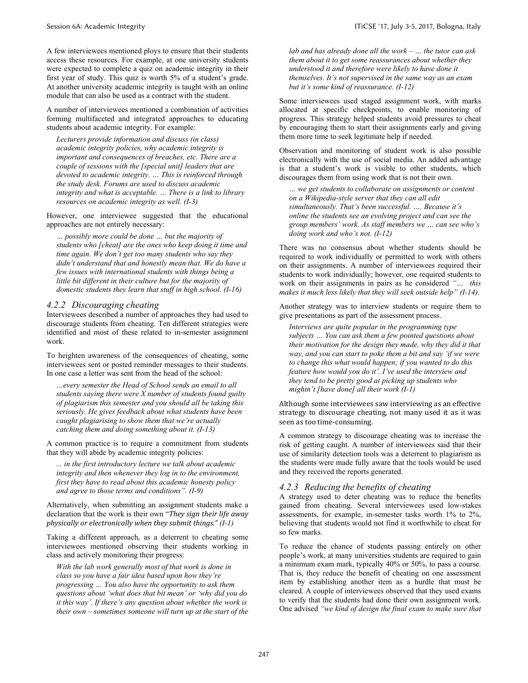A few interviewees mentioned ploys to ensure that their students access these resources. For example, at one university students were expected to complete a quiz on academic integrity in their first year of study. This quiz is worth 5% of a student's grade. At another university academic integrity is taught with an online module that can also be used as a contract with the student.

A number of interviewees mentioned a combination of activities forming multifaceted and integrated approaches to educating students about academic integrity. For example:

*Lecturers provide information and discuss (in class) academic integrity policies, why academic integrity is important and consequences of breaches, etc. There are a couple of sessions with the [special unit] leaders that are devoted to academic integrity. … This is reinforced through the study desk. Forums are used to discuss academic integrity and what is acceptable. … There is a link to library resources on academic integrity as well. (I-3)* 

However, one interviewee suggested that the educational approaches are not entirely necessary:

*… possibly more could be done … but the majority of students who [cheat] are the ones who keep doing it time and time again. We don't get too many students who say they didn't understand that and honestly mean that. We do have a few issues with international students with things being a little bit different in their culture but for the majority of domestic students they learn that stuff in high school. (I-16)* 

#### *4.2.2 Discouraging cheating*

Interviewees described a number of approaches they had used to discourage students from cheating. Ten different strategies were identified and most of these related to in-semester assignment work.

To heighten awareness of the consequences of cheating, some interviewees sent or posted reminder messages to their students. In one case a letter was sent from the head of the school:

*…every semester the Head of School sends an email to all students saying there were X number of students found guilty of plagiarism this semester and you should all be taking this seriously. He gives feedback about what students have been caught plagiarising to show them that we're actually catching them and doing something about it. (I-13)* 

A common practice is to require a commitment from students that they will abide by academic integrity policies:

*... in the first introductory lecture we talk about academic integrity and then whenever they log in to the environment, first they have to read about this academic honesty policy and agree to those terms and conditions". (I-9)* 

Alternatively, when submitting an assignment students make a declaration that the work is their own "*They sign their life away physically or electronically when they submit things." (I-1)*

Taking a different approach, as a deterrent to cheating some interviewees mentioned observing their students working in class and actively monitoring their progress:

*With the lab work generally most of that work is done in class so you have a fair idea based upon how they're progressing … You also have the opportunity to ask them questions about 'what does that bit mean' or 'why did you do it this way'. If there's any question about whether the work is their own – sometimes someone will turn up at the start of the*  *lab and has already done all the work – … the tutor can ask them about it to get some reassurances about whether they understood it and therefore were likely to have done it themselves. It's not supervised in the same way as an exam but it's some kind of reassurance. (I-12)* 

Some interviewees used staged assignment work, with marks allocated at specific checkpoints, to enable monitoring of progress. This strategy helped students avoid pressures to cheat by encouraging them to start their assignments early and giving them more time to seek legitimate help if needed.

Observation and monitoring of student work is also possible electronically with the use of social media. An added advantage is that a student's work is visible to other students, which discourages them from using work that is not their own.

*… we get students to collaborate on assignments or content on a Wikipedia-style server that they can all edit simultaneously. That's been successful. …. Because it's online the students see an evolving project and can see the group members' work. As staff members we … can see who's doing work and who's not. (I-12)* 

There was no consensus about whether students should be required to work individually or permitted to work with others on their assignments. A number of interviewees required their students to work individually; however, one required students to work on their assignments in pairs as he considered *"… this makes it much less likely that they will seek outside help" (I-14)*.

Another strategy was to interview students or require them to give presentations as part of the assessment process.

*Interviews are quite popular in the programming type subjects … You can ask them a few pointed questions about their motivation for the design they made, why they did it that way, and you can start to poke them a bit and say 'if we were to change this what would happen; if you wanted to do this feature how would you do it'. I've used the interview and they tend to be pretty good at picking up students who mightn't [have done] all their work (I-1)* 

Although some interviewees saw interviewing as an effective strategy to discourage cheating, not many used it as it was seen as too time-consuming.

A common strategy to discourage cheating was to increase the risk of getting caught. A number of interviewees said that their use of similarity detection tools was a deterrent to plagiarism as the students were made fully aware that the tools would be used and they received the reports generated.

#### *4.2.3 Reducing the benefits of cheating*

A strategy used to deter cheating was to reduce the benefits gained from cheating. Several interviewees used low-stakes assessments, for example, in-semester tasks worth 1% to 2%, believing that students would not find it worthwhile to cheat for so few marks.

To reduce the chance of students passing entirely on other people's work, at many universities students are required to gain a minimum exam mark, typically 40% or 50%, to pass a course. That is, they reduce the benefit of cheating on one assessment item by establishing another item as a hurdle that must be cleared. A couple of interviewees observed that they used exams to verify that the students had done their own assignment work. One advised *"we kind of design the final exam to make sure that*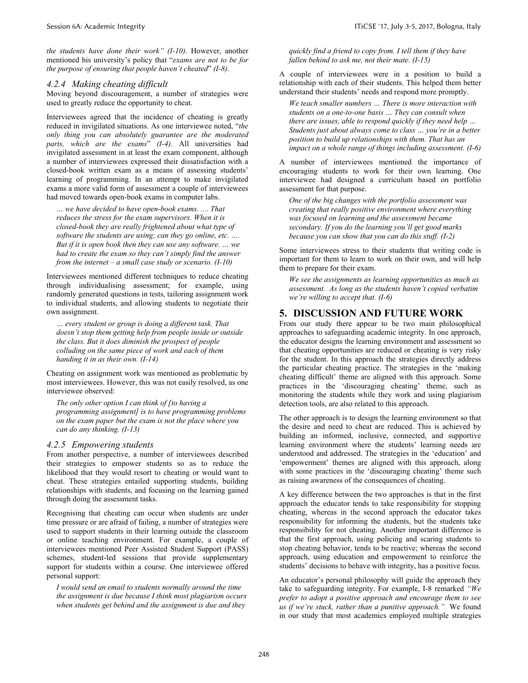*the students have done their work" (I-10)*. However, another mentioned his university's policy that "*exams are not to be for the purpose of ensuring that people haven't cheated*" *(I-8)*.

#### *4.2.4 Making cheating difficult*

Moving beyond discouragement, a number of strategies were used to greatly reduce the opportunity to cheat.

Interviewees agreed that the incidence of cheating is greatly reduced in invigilated situations. As one interviewee noted, "*the only thing you can absolutely guarantee are the moderated parts, which are the exams*" *(I-4)*. All universities had invigilated assessment in at least the exam component, although a number of interviewees expressed their dissatisfaction with a closed-book written exam as a means of assessing students' learning of programming. In an attempt to make invigilated exams a more valid form of assessment a couple of interviewees had moved towards open-book exams in computer labs.

*… we have decided to have open-book exams. .... That reduces the stress for the exam supervisors. When it is closed-book they are really frightened about what type of software the students are using; can they go online, etc. …. But if it is open book then they can use any software. … we had to create the exam so they can't simply find the answer from the internet – a small case study or scenario. (I-10)* 

Interviewees mentioned different techniques to reduce cheating through individualising assessment; for example, using randomly generated questions in tests, tailoring assignment work to individual students, and allowing students to negotiate their own assignment.

*… every student or group is doing a different task. That doesn't stop them getting help from people inside or outside the class. But it does diminish the prospect of people colluding on the same piece of work and each of them handing it in as their own. (I-14)* 

Cheating on assignment work was mentioned as problematic by most interviewees. However, this was not easily resolved, as one interviewee observed:

*The only other option I can think of [to having a programming assignment] is to have programming problems on the exam paper but the exam is not the place where you can do any thinking. (I-13)* 

## *4.2.5 Empowering students*

From another perspective, a number of interviewees described their strategies to empower students so as to reduce the likelihood that they would resort to cheating or would want to cheat. These strategies entailed supporting students, building relationships with students, and focusing on the learning gained through doing the assessment tasks.

Recognising that cheating can occur when students are under time pressure or are afraid of failing, a number of strategies were used to support students in their learning outside the classroom or online teaching environment. For example, a couple of interviewees mentioned Peer Assisted Student Support (PASS) schemes, student-led sessions that provide supplementary support for students within a course. One interviewee offered personal support:

*I would send an email to students normally around the time the assignment is due because I think most plagiarism occurs when students get behind and the assignment is due and they* 

*quickly find a friend to copy from. I tell them if they have fallen behind to ask me, not their mate. (I-15)* 

A couple of interviewees were in a position to build a relationship with each of their students. This helped them better understand their students' needs and respond more promptly.

*We teach smaller numbers … There is more interaction with students on a one-to-one basis … They can consult when there are issues, able to respond quickly if they need help … Students just about always come to class … you're in a better position to build up relationships with them. That has an impact on a whole range of things including assessment. (I-6)* 

A number of interviewees mentioned the importance of encouraging students to work for their own learning. One interviewee had designed a curriculum based on portfolio assessment for that purpose.

*One of the big changes with the portfolio assessment was creating that really positive environment where everything was focused on learning and the assessment became secondary. If you do the learning you'll get good marks because you can show that you can do this stuff. (I-2)* 

Some interviewees stress to their students that writing code is important for them to learn to work on their own, and will help them to prepare for their exam.

*We see the assignments as learning opportunities as much as assessment. As long as the students haven't copied verbatim we're willing to accept that. (I-6)* 

## **5. DISCUSSION AND FUTURE WORK**

From our study there appear to be two main philosophical approaches to safeguarding academic integrity. In one approach, the educator designs the learning environment and assessment so that cheating opportunities are reduced or cheating is very risky for the student. In this approach the strategies directly address the particular cheating practice. The strategies in the 'making cheating difficult' theme are aligned with this approach. Some practices in the 'discouraging cheating' theme, such as monitoring the students while they work and using plagiarism detection tools, are also related to this approach.

The other approach is to design the learning environment so that the desire and need to cheat are reduced. This is achieved by building an informed, inclusive, connected, and supportive learning environment where the students' learning needs are understood and addressed. The strategies in the 'education' and 'empowerment' themes are aligned with this approach, along with some practices in the 'discouraging cheating' theme such as raising awareness of the consequences of cheating.

A key difference between the two approaches is that in the first approach the educator tends to take responsibility for stopping cheating, whereas in the second approach the educator takes responsibility for informing the students, but the students take responsibility for not cheating. Another important difference is that the first approach, using policing and scaring students to stop cheating behavior, tends to be reactive; whereas the second approach, using education and empowerment to reinforce the students' decisions to behave with integrity, has a positive focus.

An educator's personal philosophy will guide the approach they take to safeguarding integrity. For example, I-8 remarked *"We prefer to adopt a positive approach and encourage them to see us if we're stuck, rather than a punitive approach."* We found in our study that most academics employed multiple strategies